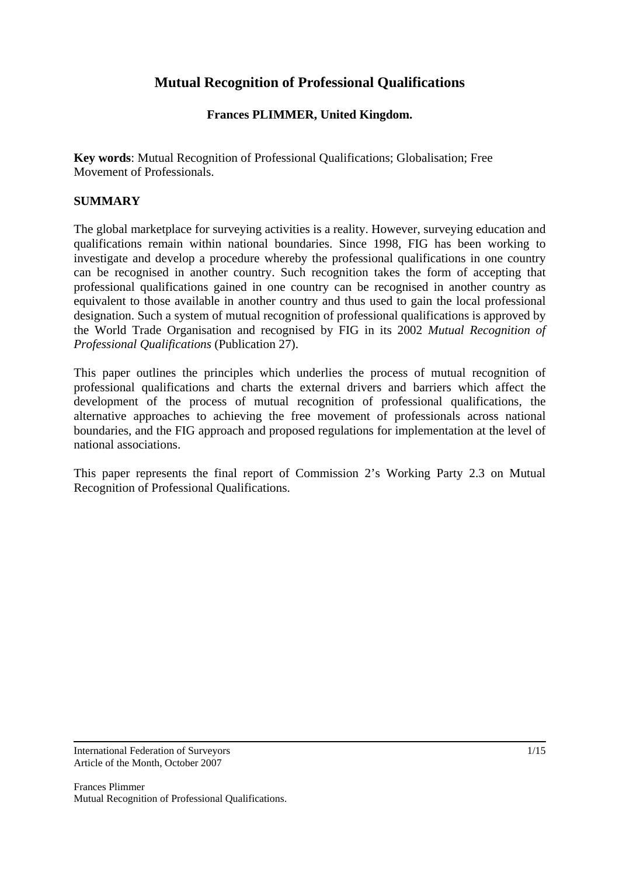# **Mutual Recognition of Professional Qualifications**

## **Frances PLIMMER, United Kingdom.**

**Key words**: Mutual Recognition of Professional Qualifications; Globalisation; Free Movement of Professionals.

### **SUMMARY**

The global marketplace for surveying activities is a reality. However, surveying education and qualifications remain within national boundaries. Since 1998, FIG has been working to investigate and develop a procedure whereby the professional qualifications in one country can be recognised in another country. Such recognition takes the form of accepting that professional qualifications gained in one country can be recognised in another country as equivalent to those available in another country and thus used to gain the local professional designation. Such a system of mutual recognition of professional qualifications is approved by the World Trade Organisation and recognised by FIG in its 2002 *Mutual Recognition of Professional Qualifications* (Publication 27).

This paper outlines the principles which underlies the process of mutual recognition of professional qualifications and charts the external drivers and barriers which affect the development of the process of mutual recognition of professional qualifications, the alternative approaches to achieving the free movement of professionals across national boundaries, and the FIG approach and proposed regulations for implementation at the level of national associations.

This paper represents the final report of Commission 2's Working Party 2.3 on Mutual Recognition of Professional Qualifications.

International Federation of Surveyors Article of the Month, October 2007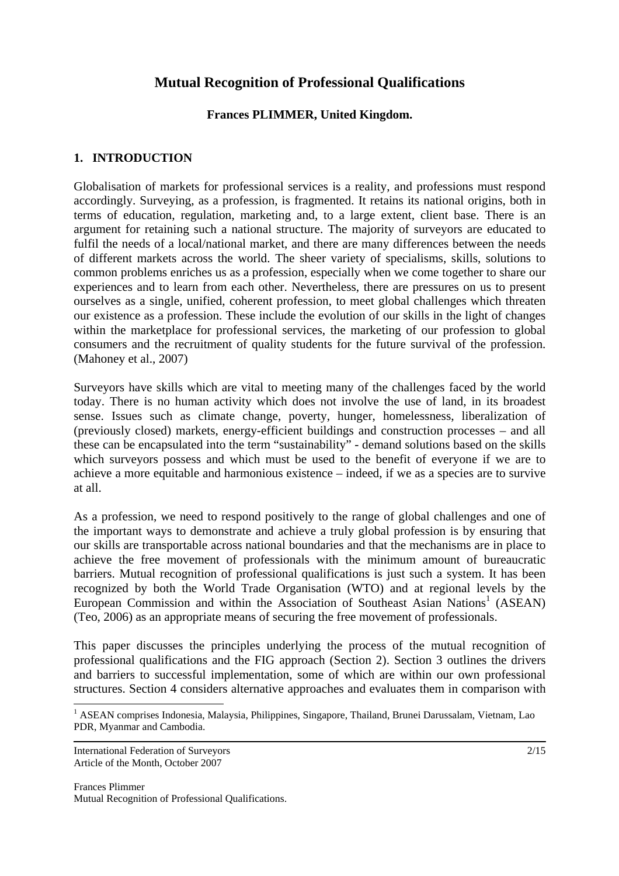# **Mutual Recognition of Professional Qualifications**

### **Frances PLIMMER, United Kingdom.**

### **1. INTRODUCTION**

Globalisation of markets for professional services is a reality, and professions must respond accordingly. Surveying, as a profession, is fragmented. It retains its national origins, both in terms of education, regulation, marketing and, to a large extent, client base. There is an argument for retaining such a national structure. The majority of surveyors are educated to fulfil the needs of a local/national market, and there are many differences between the needs of different markets across the world. The sheer variety of specialisms, skills, solutions to common problems enriches us as a profession, especially when we come together to share our experiences and to learn from each other. Nevertheless, there are pressures on us to present ourselves as a single, unified, coherent profession, to meet global challenges which threaten our existence as a profession. These include the evolution of our skills in the light of changes within the marketplace for professional services, the marketing of our profession to global consumers and the recruitment of quality students for the future survival of the profession. (Mahoney et al., 2007)

Surveyors have skills which are vital to meeting many of the challenges faced by the world today. There is no human activity which does not involve the use of land, in its broadest sense. Issues such as climate change, poverty, hunger, homelessness, liberalization of (previously closed) markets, energy-efficient buildings and construction processes – and all these can be encapsulated into the term "sustainability" - demand solutions based on the skills which surveyors possess and which must be used to the benefit of everyone if we are to achieve a more equitable and harmonious existence – indeed, if we as a species are to survive at all.

As a profession, we need to respond positively to the range of global challenges and one of the important ways to demonstrate and achieve a truly global profession is by ensuring that our skills are transportable across national boundaries and that the mechanisms are in place to achieve the free movement of professionals with the minimum amount of bureaucratic barriers. Mutual recognition of professional qualifications is just such a system. It has been recognized by both the World Trade Organisation (WTO) and at regional levels by the European Commission and within the Association of Southeast Asian Nations<sup>1</sup> (ASEAN) (Teo, 2006) as an appropriate means of securing the free movement of professionals.

This paper discusses the principles underlying the process of the mutual recognition of professional qualifications and the FIG approach (Section 2). Section 3 outlines the drivers and barriers to successful implementation, some of which are within our own professional structures. Section 4 considers alternative approaches and evaluates them in comparison with

 $\overline{a}$ 

<sup>&</sup>lt;sup>1</sup> ASEAN comprises Indonesia, Malaysia, Philippines, Singapore, Thailand, Brunei Darussalam, Vietnam, Lao PDR, Myanmar and Cambodia.

International Federation of Surveyors Article of the Month, October 2007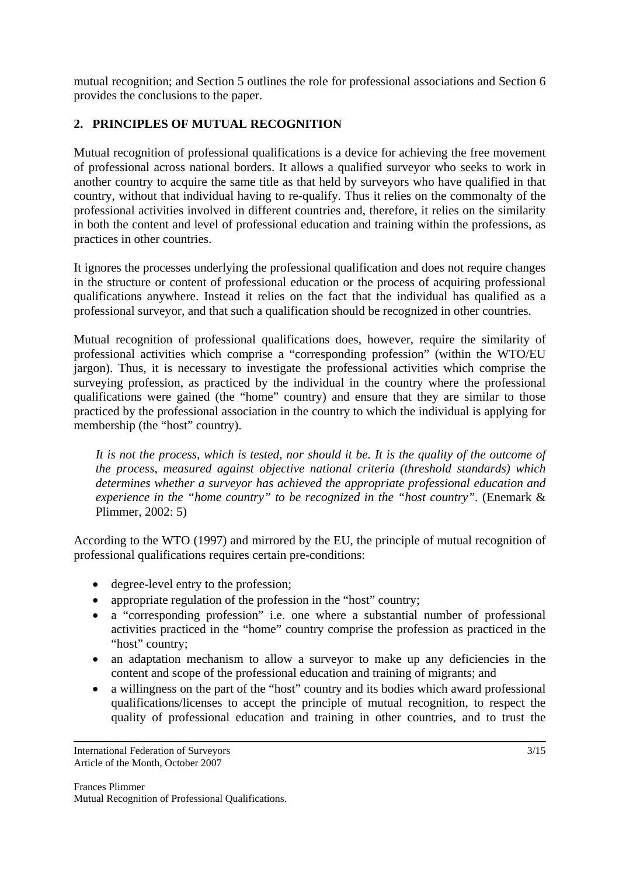mutual recognition; and Section 5 outlines the role for professional associations and Section 6 provides the conclusions to the paper.

# **2. PRINCIPLES OF MUTUAL RECOGNITION**

Mutual recognition of professional qualifications is a device for achieving the free movement of professional across national borders. It allows a qualified surveyor who seeks to work in another country to acquire the same title as that held by surveyors who have qualified in that country, without that individual having to re-qualify. Thus it relies on the commonalty of the professional activities involved in different countries and, therefore, it relies on the similarity in both the content and level of professional education and training within the professions, as practices in other countries.

It ignores the processes underlying the professional qualification and does not require changes in the structure or content of professional education or the process of acquiring professional qualifications anywhere. Instead it relies on the fact that the individual has qualified as a professional surveyor, and that such a qualification should be recognized in other countries.

Mutual recognition of professional qualifications does, however, require the similarity of professional activities which comprise a "corresponding profession" (within the WTO/EU jargon). Thus, it is necessary to investigate the professional activities which comprise the surveying profession, as practiced by the individual in the country where the professional qualifications were gained (the "home" country) and ensure that they are similar to those practiced by the professional association in the country to which the individual is applying for membership (the "host" country).

*It is not the process, which is tested, nor should it be. It is the quality of the outcome of the process, measured against objective national criteria (threshold standards) which determines whether a surveyor has achieved the appropriate professional education and experience in the "home country" to be recognized in the "host country".* (Enemark & Plimmer, 2002: 5)

According to the WTO (1997) and mirrored by the EU, the principle of mutual recognition of professional qualifications requires certain pre-conditions:

- degree-level entry to the profession;
- appropriate regulation of the profession in the "host" country;
- a "corresponding profession" i.e. one where a substantial number of professional activities practiced in the "home" country comprise the profession as practiced in the "host" country:
- an adaptation mechanism to allow a surveyor to make up any deficiencies in the content and scope of the professional education and training of migrants; and
- a willingness on the part of the "host" country and its bodies which award professional qualifications/licenses to accept the principle of mutual recognition, to respect the quality of professional education and training in other countries, and to trust the

International Federation of Surveyors Article of the Month, October 2007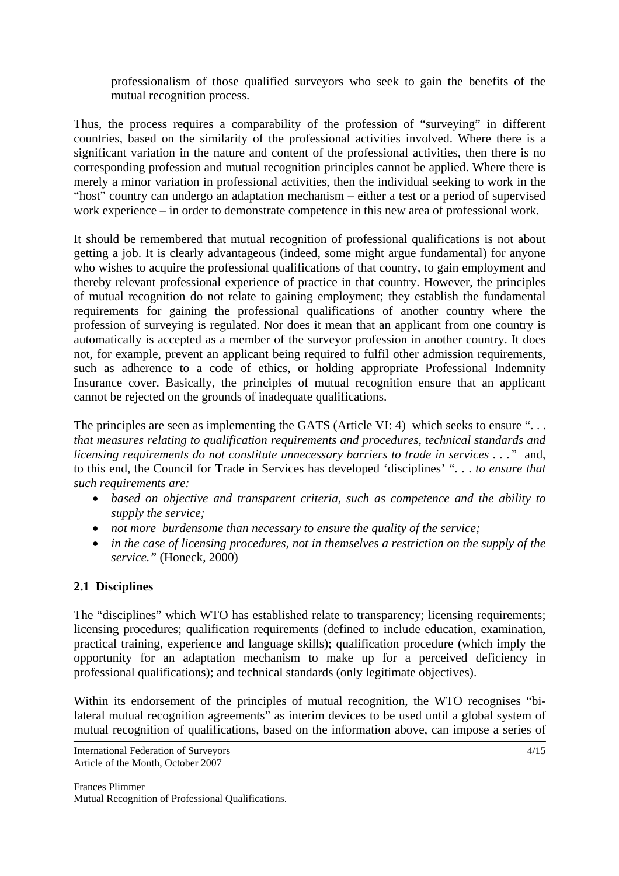professionalism of those qualified surveyors who seek to gain the benefits of the mutual recognition process.

Thus, the process requires a comparability of the profession of "surveying" in different countries, based on the similarity of the professional activities involved. Where there is a significant variation in the nature and content of the professional activities, then there is no corresponding profession and mutual recognition principles cannot be applied. Where there is merely a minor variation in professional activities, then the individual seeking to work in the "host" country can undergo an adaptation mechanism – either a test or a period of supervised work experience – in order to demonstrate competence in this new area of professional work.

It should be remembered that mutual recognition of professional qualifications is not about getting a job. It is clearly advantageous (indeed, some might argue fundamental) for anyone who wishes to acquire the professional qualifications of that country, to gain employment and thereby relevant professional experience of practice in that country. However, the principles of mutual recognition do not relate to gaining employment; they establish the fundamental requirements for gaining the professional qualifications of another country where the profession of surveying is regulated. Nor does it mean that an applicant from one country is automatically is accepted as a member of the surveyor profession in another country. It does not, for example, prevent an applicant being required to fulfil other admission requirements, such as adherence to a code of ethics, or holding appropriate Professional Indemnity Insurance cover. Basically, the principles of mutual recognition ensure that an applicant cannot be rejected on the grounds of inadequate qualifications.

The principles are seen as implementing the GATS (Article VI: 4) which seeks to ensure "... *that measures relating to qualification requirements and procedures, technical standards and licensing requirements do not constitute unnecessary barriers to trade in services . . ."* and, to this end, the Council for Trade in Services has developed 'disciplines' ". . . *to ensure that such requirements are:* 

- *based on objective and transparent criteria, such as competence and the ability to supply the service;*
- *not more burdensome than necessary to ensure the quality of the service;*
- *in the case of licensing procedures, not in themselves a restriction on the supply of the service."* (Honeck, 2000)

# **2.1 Disciplines**

The "disciplines" which WTO has established relate to transparency; licensing requirements; licensing procedures; qualification requirements (defined to include education, examination, practical training, experience and language skills); qualification procedure (which imply the opportunity for an adaptation mechanism to make up for a perceived deficiency in professional qualifications); and technical standards (only legitimate objectives).

Within its endorsement of the principles of mutual recognition, the WTO recognises "bilateral mutual recognition agreements" as interim devices to be used until a global system of mutual recognition of qualifications, based on the information above, can impose a series of

International Federation of Surveyors Article of the Month, October 2007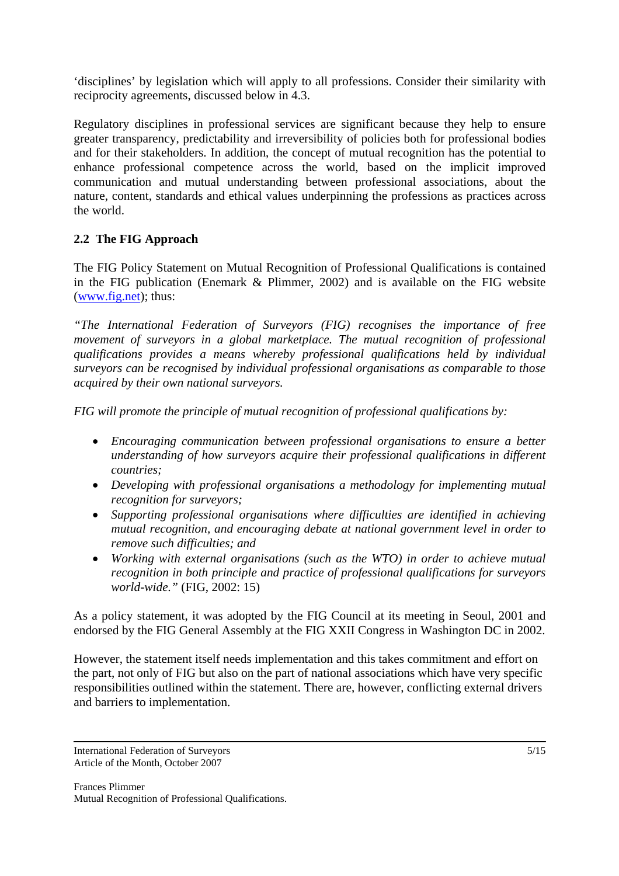'disciplines' by legislation which will apply to all professions. Consider their similarity with reciprocity agreements, discussed below in 4.3.

Regulatory disciplines in professional services are significant because they help to ensure greater transparency, predictability and irreversibility of policies both for professional bodies and for their stakeholders. In addition, the concept of mutual recognition has the potential to enhance professional competence across the world, based on the implicit improved communication and mutual understanding between professional associations, about the nature, content, standards and ethical values underpinning the professions as practices across the world.

# **2.2 The FIG Approach**

The FIG Policy Statement on Mutual Recognition of Professional Qualifications is contained in the FIG publication (Enemark & Plimmer, 2002) and is available on the FIG website (www.fig.net); thus:

*"The International Federation of Surveyors (FIG) recognises the importance of free movement of surveyors in a global marketplace. The mutual recognition of professional qualifications provides a means whereby professional qualifications held by individual surveyors can be recognised by individual professional organisations as comparable to those acquired by their own national surveyors.* 

*FIG will promote the principle of mutual recognition of professional qualifications by:* 

- *Encouraging communication between professional organisations to ensure a better understanding of how surveyors acquire their professional qualifications in different countries;*
- *Developing with professional organisations a methodology for implementing mutual recognition for surveyors;*
- *Supporting professional organisations where difficulties are identified in achieving mutual recognition, and encouraging debate at national government level in order to remove such difficulties; and*
- *Working with external organisations (such as the WTO) in order to achieve mutual recognition in both principle and practice of professional qualifications for surveyors world-wide."* (FIG, 2002: 15)

As a policy statement, it was adopted by the FIG Council at its meeting in Seoul, 2001 and endorsed by the FIG General Assembly at the FIG XXII Congress in Washington DC in 2002.

However, the statement itself needs implementation and this takes commitment and effort on the part, not only of FIG but also on the part of national associations which have very specific responsibilities outlined within the statement. There are, however, conflicting external drivers and barriers to implementation.

International Federation of Surveyors Article of the Month, October 2007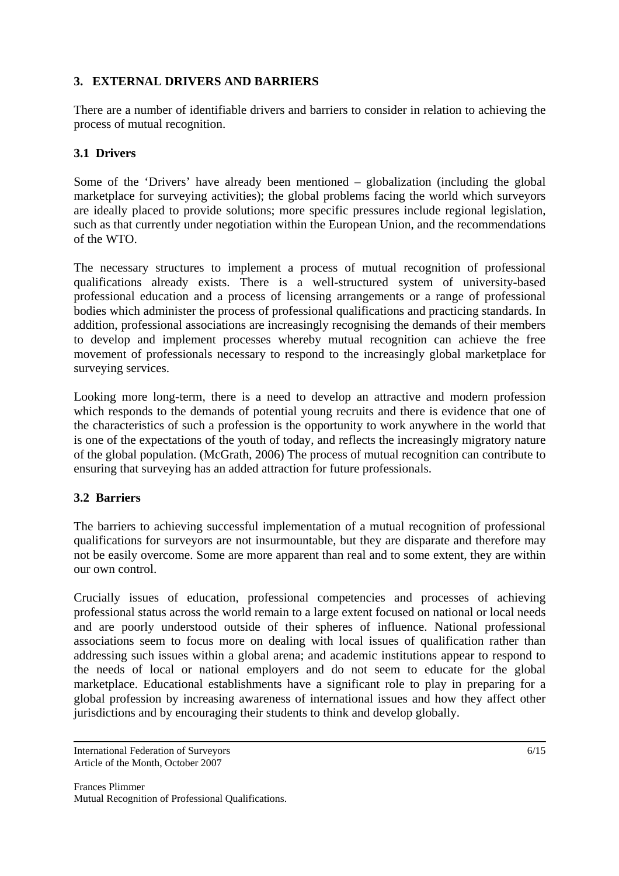## **3. EXTERNAL DRIVERS AND BARRIERS**

There are a number of identifiable drivers and barriers to consider in relation to achieving the process of mutual recognition.

## **3.1 Drivers**

Some of the 'Drivers' have already been mentioned – globalization (including the global marketplace for surveying activities); the global problems facing the world which surveyors are ideally placed to provide solutions; more specific pressures include regional legislation, such as that currently under negotiation within the European Union, and the recommendations of the WTO.

The necessary structures to implement a process of mutual recognition of professional qualifications already exists. There is a well-structured system of university-based professional education and a process of licensing arrangements or a range of professional bodies which administer the process of professional qualifications and practicing standards. In addition, professional associations are increasingly recognising the demands of their members to develop and implement processes whereby mutual recognition can achieve the free movement of professionals necessary to respond to the increasingly global marketplace for surveying services.

Looking more long-term, there is a need to develop an attractive and modern profession which responds to the demands of potential young recruits and there is evidence that one of the characteristics of such a profession is the opportunity to work anywhere in the world that is one of the expectations of the youth of today, and reflects the increasingly migratory nature of the global population. (McGrath, 2006) The process of mutual recognition can contribute to ensuring that surveying has an added attraction for future professionals.

#### **3.2 Barriers**

The barriers to achieving successful implementation of a mutual recognition of professional qualifications for surveyors are not insurmountable, but they are disparate and therefore may not be easily overcome. Some are more apparent than real and to some extent, they are within our own control.

Crucially issues of education, professional competencies and processes of achieving professional status across the world remain to a large extent focused on national or local needs and are poorly understood outside of their spheres of influence. National professional associations seem to focus more on dealing with local issues of qualification rather than addressing such issues within a global arena; and academic institutions appear to respond to the needs of local or national employers and do not seem to educate for the global marketplace. Educational establishments have a significant role to play in preparing for a global profession by increasing awareness of international issues and how they affect other jurisdictions and by encouraging their students to think and develop globally.

International Federation of Surveyors Article of the Month, October 2007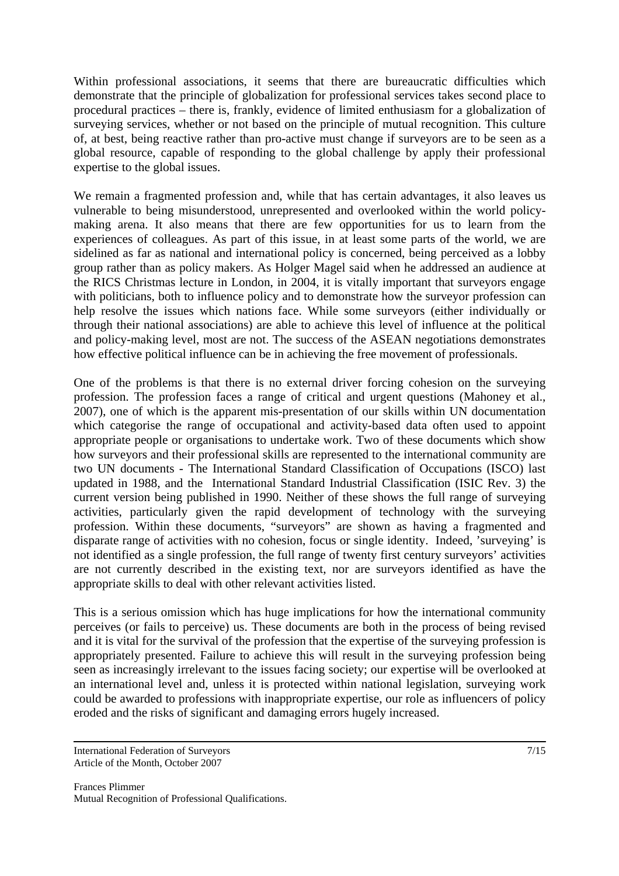Within professional associations, it seems that there are bureaucratic difficulties which demonstrate that the principle of globalization for professional services takes second place to procedural practices – there is, frankly, evidence of limited enthusiasm for a globalization of surveying services, whether or not based on the principle of mutual recognition. This culture of, at best, being reactive rather than pro-active must change if surveyors are to be seen as a global resource, capable of responding to the global challenge by apply their professional expertise to the global issues.

We remain a fragmented profession and, while that has certain advantages, it also leaves us vulnerable to being misunderstood, unrepresented and overlooked within the world policymaking arena. It also means that there are few opportunities for us to learn from the experiences of colleagues. As part of this issue, in at least some parts of the world, we are sidelined as far as national and international policy is concerned, being perceived as a lobby group rather than as policy makers. As Holger Magel said when he addressed an audience at the RICS Christmas lecture in London, in 2004, it is vitally important that surveyors engage with politicians, both to influence policy and to demonstrate how the surveyor profession can help resolve the issues which nations face. While some surveyors (either individually or through their national associations) are able to achieve this level of influence at the political and policy-making level, most are not. The success of the ASEAN negotiations demonstrates how effective political influence can be in achieving the free movement of professionals.

One of the problems is that there is no external driver forcing cohesion on the surveying profession. The profession faces a range of critical and urgent questions (Mahoney et al., 2007), one of which is the apparent mis-presentation of our skills within UN documentation which categorise the range of occupational and activity-based data often used to appoint appropriate people or organisations to undertake work. Two of these documents which show how surveyors and their professional skills are represented to the international community are two UN documents - The International Standard Classification of Occupations (ISCO) last updated in 1988, and the International Standard Industrial Classification (ISIC Rev. 3) the current version being published in 1990. Neither of these shows the full range of surveying activities, particularly given the rapid development of technology with the surveying profession. Within these documents, "surveyors" are shown as having a fragmented and disparate range of activities with no cohesion, focus or single identity. Indeed, 'surveying' is not identified as a single profession, the full range of twenty first century surveyors' activities are not currently described in the existing text, nor are surveyors identified as have the appropriate skills to deal with other relevant activities listed.

This is a serious omission which has huge implications for how the international community perceives (or fails to perceive) us. These documents are both in the process of being revised and it is vital for the survival of the profession that the expertise of the surveying profession is appropriately presented. Failure to achieve this will result in the surveying profession being seen as increasingly irrelevant to the issues facing society; our expertise will be overlooked at an international level and, unless it is protected within national legislation, surveying work could be awarded to professions with inappropriate expertise, our role as influencers of policy eroded and the risks of significant and damaging errors hugely increased.

International Federation of Surveyors Article of the Month, October 2007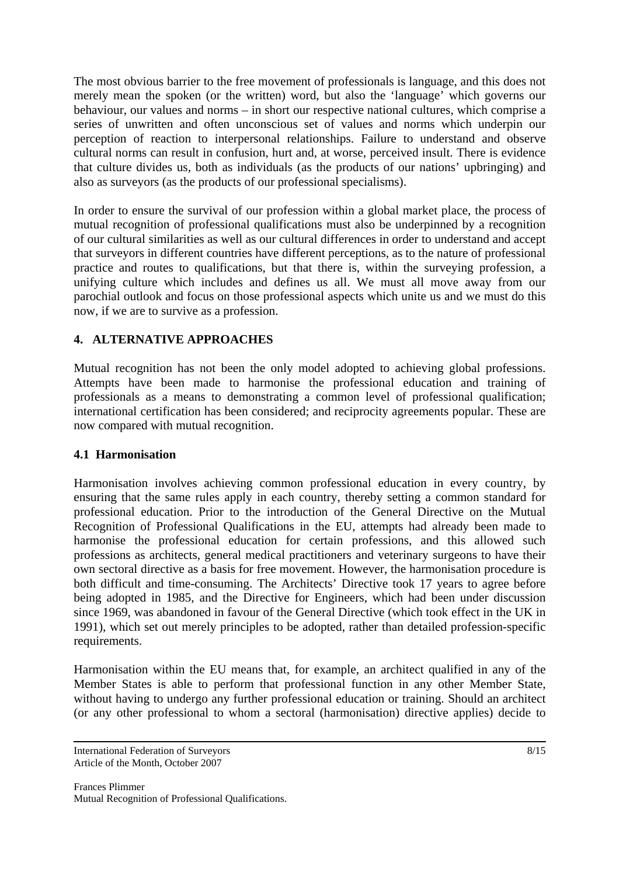The most obvious barrier to the free movement of professionals is language, and this does not merely mean the spoken (or the written) word, but also the 'language' which governs our behaviour, our values and norms – in short our respective national cultures, which comprise a series of unwritten and often unconscious set of values and norms which underpin our perception of reaction to interpersonal relationships. Failure to understand and observe cultural norms can result in confusion, hurt and, at worse, perceived insult. There is evidence that culture divides us, both as individuals (as the products of our nations' upbringing) and also as surveyors (as the products of our professional specialisms).

In order to ensure the survival of our profession within a global market place, the process of mutual recognition of professional qualifications must also be underpinned by a recognition of our cultural similarities as well as our cultural differences in order to understand and accept that surveyors in different countries have different perceptions, as to the nature of professional practice and routes to qualifications, but that there is, within the surveying profession, a unifying culture which includes and defines us all. We must all move away from our parochial outlook and focus on those professional aspects which unite us and we must do this now, if we are to survive as a profession.

# **4. ALTERNATIVE APPROACHES**

Mutual recognition has not been the only model adopted to achieving global professions. Attempts have been made to harmonise the professional education and training of professionals as a means to demonstrating a common level of professional qualification; international certification has been considered; and reciprocity agreements popular. These are now compared with mutual recognition.

#### **4.1 Harmonisation**

Harmonisation involves achieving common professional education in every country, by ensuring that the same rules apply in each country, thereby setting a common standard for professional education. Prior to the introduction of the General Directive on the Mutual Recognition of Professional Qualifications in the EU, attempts had already been made to harmonise the professional education for certain professions, and this allowed such professions as architects, general medical practitioners and veterinary surgeons to have their own sectoral directive as a basis for free movement. However, the harmonisation procedure is both difficult and time-consuming. The Architects' Directive took 17 years to agree before being adopted in 1985, and the Directive for Engineers, which had been under discussion since 1969, was abandoned in favour of the General Directive (which took effect in the UK in 1991), which set out merely principles to be adopted, rather than detailed profession-specific requirements.

Harmonisation within the EU means that, for example, an architect qualified in any of the Member States is able to perform that professional function in any other Member State, without having to undergo any further professional education or training. Should an architect (or any other professional to whom a sectoral (harmonisation) directive applies) decide to

International Federation of Surveyors Article of the Month, October 2007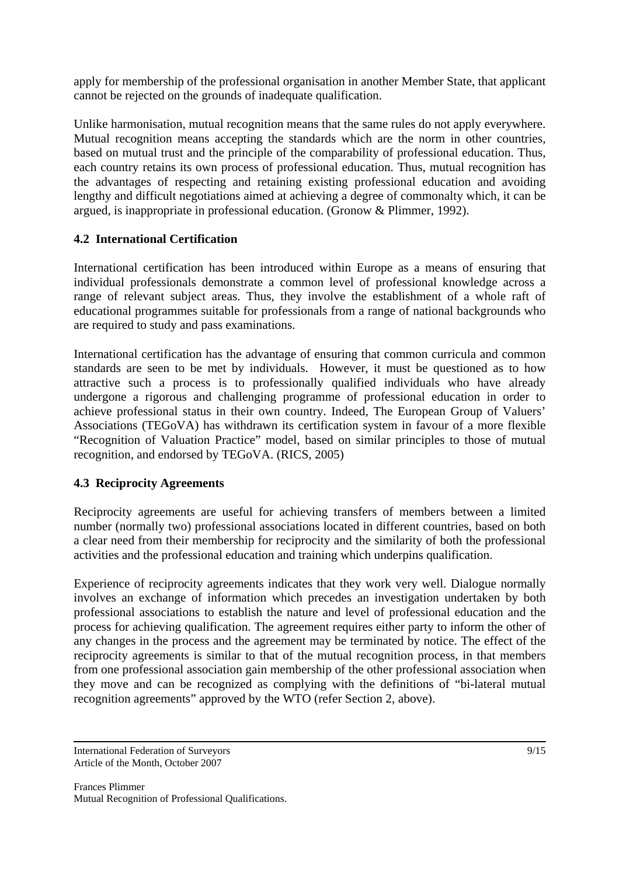apply for membership of the professional organisation in another Member State, that applicant cannot be rejected on the grounds of inadequate qualification.

Unlike harmonisation, mutual recognition means that the same rules do not apply everywhere. Mutual recognition means accepting the standards which are the norm in other countries, based on mutual trust and the principle of the comparability of professional education. Thus, each country retains its own process of professional education. Thus, mutual recognition has the advantages of respecting and retaining existing professional education and avoiding lengthy and difficult negotiations aimed at achieving a degree of commonalty which, it can be argued, is inappropriate in professional education. (Gronow & Plimmer, 1992).

## **4.2 International Certification**

International certification has been introduced within Europe as a means of ensuring that individual professionals demonstrate a common level of professional knowledge across a range of relevant subject areas. Thus, they involve the establishment of a whole raft of educational programmes suitable for professionals from a range of national backgrounds who are required to study and pass examinations.

International certification has the advantage of ensuring that common curricula and common standards are seen to be met by individuals. However, it must be questioned as to how attractive such a process is to professionally qualified individuals who have already undergone a rigorous and challenging programme of professional education in order to achieve professional status in their own country. Indeed, The European Group of Valuers' Associations (TEGoVA) has withdrawn its certification system in favour of a more flexible "Recognition of Valuation Practice" model, based on similar principles to those of mutual recognition, and endorsed by TEGoVA. (RICS, 2005)

#### **4.3 Reciprocity Agreements**

Reciprocity agreements are useful for achieving transfers of members between a limited number (normally two) professional associations located in different countries, based on both a clear need from their membership for reciprocity and the similarity of both the professional activities and the professional education and training which underpins qualification.

Experience of reciprocity agreements indicates that they work very well. Dialogue normally involves an exchange of information which precedes an investigation undertaken by both professional associations to establish the nature and level of professional education and the process for achieving qualification. The agreement requires either party to inform the other of any changes in the process and the agreement may be terminated by notice. The effect of the reciprocity agreements is similar to that of the mutual recognition process, in that members from one professional association gain membership of the other professional association when they move and can be recognized as complying with the definitions of "bi-lateral mutual recognition agreements" approved by the WTO (refer Section 2, above).

International Federation of Surveyors Article of the Month, October 2007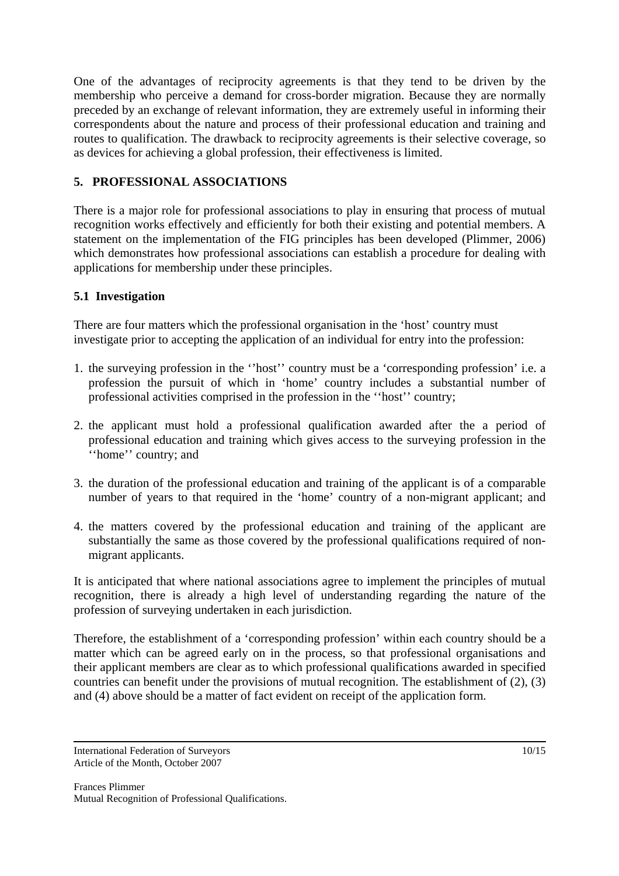One of the advantages of reciprocity agreements is that they tend to be driven by the membership who perceive a demand for cross-border migration. Because they are normally preceded by an exchange of relevant information, they are extremely useful in informing their correspondents about the nature and process of their professional education and training and routes to qualification. The drawback to reciprocity agreements is their selective coverage, so as devices for achieving a global profession, their effectiveness is limited.

# **5. PROFESSIONAL ASSOCIATIONS**

There is a major role for professional associations to play in ensuring that process of mutual recognition works effectively and efficiently for both their existing and potential members. A statement on the implementation of the FIG principles has been developed (Plimmer, 2006) which demonstrates how professional associations can establish a procedure for dealing with applications for membership under these principles.

# **5.1 Investigation**

There are four matters which the professional organisation in the 'host' country must investigate prior to accepting the application of an individual for entry into the profession:

- 1. the surveying profession in the ''host'' country must be a 'corresponding profession' i.e. a profession the pursuit of which in 'home' country includes a substantial number of professional activities comprised in the profession in the ''host'' country;
- 2. the applicant must hold a professional qualification awarded after the a period of professional education and training which gives access to the surveying profession in the ''home'' country; and
- 3. the duration of the professional education and training of the applicant is of a comparable number of years to that required in the 'home' country of a non-migrant applicant; and
- 4. the matters covered by the professional education and training of the applicant are substantially the same as those covered by the professional qualifications required of nonmigrant applicants.

It is anticipated that where national associations agree to implement the principles of mutual recognition, there is already a high level of understanding regarding the nature of the profession of surveying undertaken in each jurisdiction.

Therefore, the establishment of a 'corresponding profession' within each country should be a matter which can be agreed early on in the process, so that professional organisations and their applicant members are clear as to which professional qualifications awarded in specified countries can benefit under the provisions of mutual recognition. The establishment of (2), (3) and (4) above should be a matter of fact evident on receipt of the application form.

International Federation of Surveyors Article of the Month, October 2007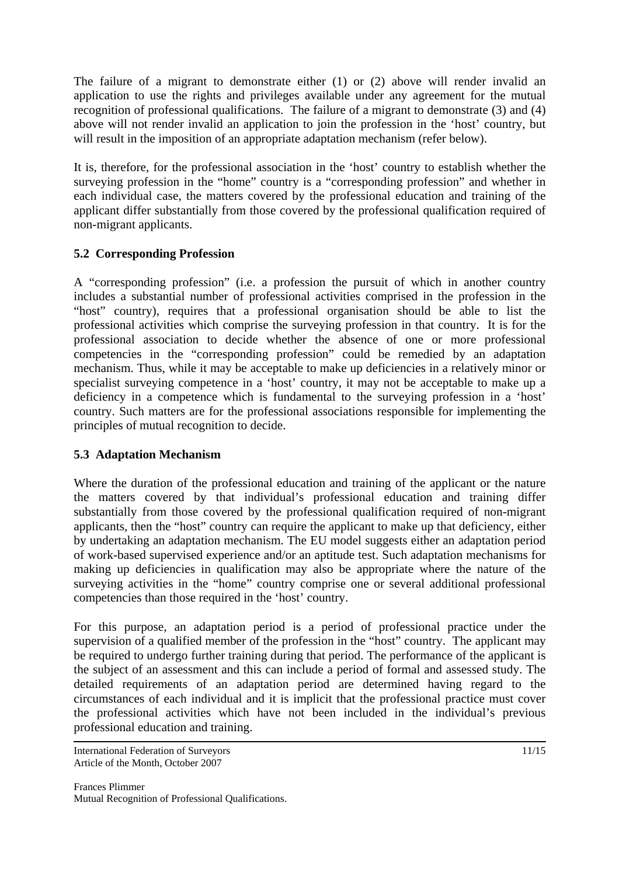The failure of a migrant to demonstrate either (1) or (2) above will render invalid an application to use the rights and privileges available under any agreement for the mutual recognition of professional qualifications. The failure of a migrant to demonstrate (3) and (4) above will not render invalid an application to join the profession in the 'host' country, but will result in the imposition of an appropriate adaptation mechanism (refer below).

It is, therefore, for the professional association in the 'host' country to establish whether the surveying profession in the "home" country is a "corresponding profession" and whether in each individual case, the matters covered by the professional education and training of the applicant differ substantially from those covered by the professional qualification required of non-migrant applicants.

# **5.2 Corresponding Profession**

A "corresponding profession" (i.e. a profession the pursuit of which in another country includes a substantial number of professional activities comprised in the profession in the "host" country), requires that a professional organisation should be able to list the professional activities which comprise the surveying profession in that country. It is for the professional association to decide whether the absence of one or more professional competencies in the "corresponding profession" could be remedied by an adaptation mechanism. Thus, while it may be acceptable to make up deficiencies in a relatively minor or specialist surveying competence in a 'host' country, it may not be acceptable to make up a deficiency in a competence which is fundamental to the surveying profession in a 'host' country. Such matters are for the professional associations responsible for implementing the principles of mutual recognition to decide.

# **5.3 Adaptation Mechanism**

Where the duration of the professional education and training of the applicant or the nature the matters covered by that individual's professional education and training differ substantially from those covered by the professional qualification required of non-migrant applicants, then the "host" country can require the applicant to make up that deficiency, either by undertaking an adaptation mechanism. The EU model suggests either an adaptation period of work-based supervised experience and/or an aptitude test. Such adaptation mechanisms for making up deficiencies in qualification may also be appropriate where the nature of the surveying activities in the "home" country comprise one or several additional professional competencies than those required in the 'host' country.

For this purpose, an adaptation period is a period of professional practice under the supervision of a qualified member of the profession in the "host" country. The applicant may be required to undergo further training during that period. The performance of the applicant is the subject of an assessment and this can include a period of formal and assessed study. The detailed requirements of an adaptation period are determined having regard to the circumstances of each individual and it is implicit that the professional practice must cover the professional activities which have not been included in the individual's previous professional education and training.

International Federation of Surveyors Article of the Month, October 2007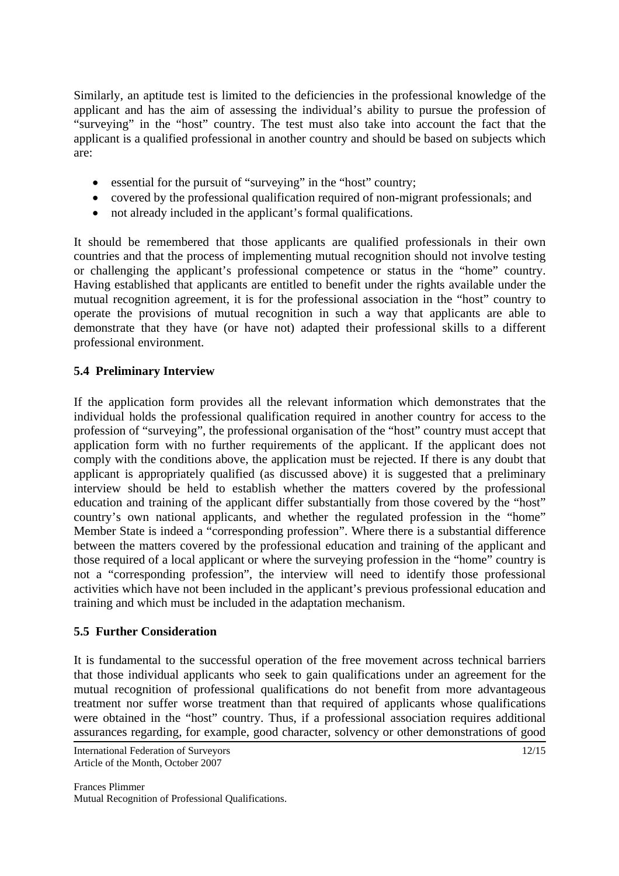Similarly, an aptitude test is limited to the deficiencies in the professional knowledge of the applicant and has the aim of assessing the individual's ability to pursue the profession of "surveying" in the "host" country. The test must also take into account the fact that the applicant is a qualified professional in another country and should be based on subjects which are:

- essential for the pursuit of "surveying" in the "host" country;
- covered by the professional qualification required of non-migrant professionals; and
- not already included in the applicant's formal qualifications.

It should be remembered that those applicants are qualified professionals in their own countries and that the process of implementing mutual recognition should not involve testing or challenging the applicant's professional competence or status in the "home" country. Having established that applicants are entitled to benefit under the rights available under the mutual recognition agreement, it is for the professional association in the "host" country to operate the provisions of mutual recognition in such a way that applicants are able to demonstrate that they have (or have not) adapted their professional skills to a different professional environment.

## **5.4 Preliminary Interview**

If the application form provides all the relevant information which demonstrates that the individual holds the professional qualification required in another country for access to the profession of "surveying", the professional organisation of the "host" country must accept that application form with no further requirements of the applicant. If the applicant does not comply with the conditions above, the application must be rejected. If there is any doubt that applicant is appropriately qualified (as discussed above) it is suggested that a preliminary interview should be held to establish whether the matters covered by the professional education and training of the applicant differ substantially from those covered by the "host" country's own national applicants, and whether the regulated profession in the "home" Member State is indeed a "corresponding profession". Where there is a substantial difference between the matters covered by the professional education and training of the applicant and those required of a local applicant or where the surveying profession in the "home" country is not a "corresponding profession", the interview will need to identify those professional activities which have not been included in the applicant's previous professional education and training and which must be included in the adaptation mechanism.

#### **5.5 Further Consideration**

It is fundamental to the successful operation of the free movement across technical barriers that those individual applicants who seek to gain qualifications under an agreement for the mutual recognition of professional qualifications do not benefit from more advantageous treatment nor suffer worse treatment than that required of applicants whose qualifications were obtained in the "host" country. Thus, if a professional association requires additional assurances regarding, for example, good character, solvency or other demonstrations of good

International Federation of Surveyors Article of the Month, October 2007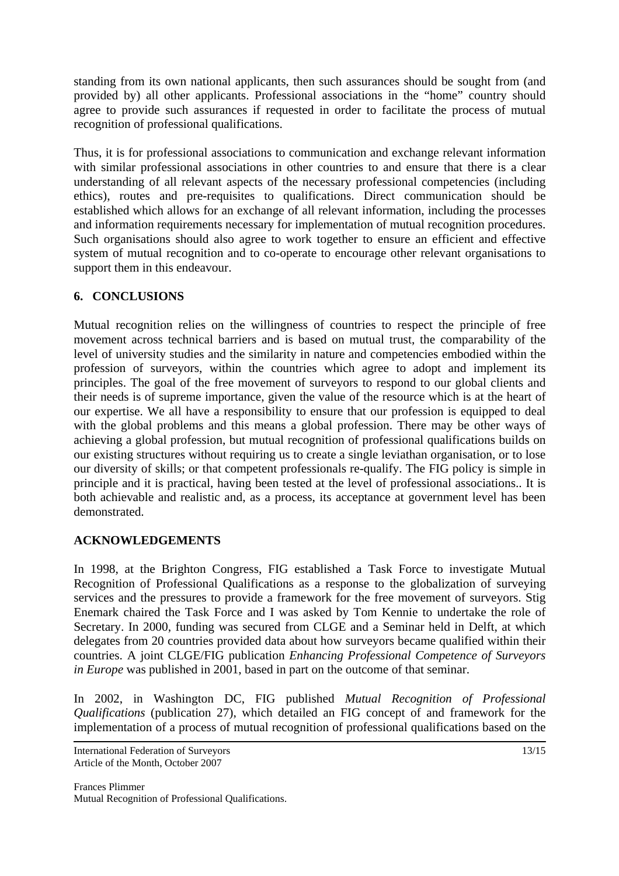standing from its own national applicants, then such assurances should be sought from (and provided by) all other applicants. Professional associations in the "home" country should agree to provide such assurances if requested in order to facilitate the process of mutual recognition of professional qualifications.

Thus, it is for professional associations to communication and exchange relevant information with similar professional associations in other countries to and ensure that there is a clear understanding of all relevant aspects of the necessary professional competencies (including ethics), routes and pre-requisites to qualifications. Direct communication should be established which allows for an exchange of all relevant information, including the processes and information requirements necessary for implementation of mutual recognition procedures. Such organisations should also agree to work together to ensure an efficient and effective system of mutual recognition and to co-operate to encourage other relevant organisations to support them in this endeavour.

#### **6. CONCLUSIONS**

Mutual recognition relies on the willingness of countries to respect the principle of free movement across technical barriers and is based on mutual trust, the comparability of the level of university studies and the similarity in nature and competencies embodied within the profession of surveyors, within the countries which agree to adopt and implement its principles. The goal of the free movement of surveyors to respond to our global clients and their needs is of supreme importance, given the value of the resource which is at the heart of our expertise. We all have a responsibility to ensure that our profession is equipped to deal with the global problems and this means a global profession. There may be other ways of achieving a global profession, but mutual recognition of professional qualifications builds on our existing structures without requiring us to create a single leviathan organisation, or to lose our diversity of skills; or that competent professionals re-qualify. The FIG policy is simple in principle and it is practical, having been tested at the level of professional associations.. It is both achievable and realistic and, as a process, its acceptance at government level has been demonstrated.

# **ACKNOWLEDGEMENTS**

In 1998, at the Brighton Congress, FIG established a Task Force to investigate Mutual Recognition of Professional Qualifications as a response to the globalization of surveying services and the pressures to provide a framework for the free movement of surveyors. Stig Enemark chaired the Task Force and I was asked by Tom Kennie to undertake the role of Secretary. In 2000, funding was secured from CLGE and a Seminar held in Delft, at which delegates from 20 countries provided data about how surveyors became qualified within their countries. A joint CLGE/FIG publication *Enhancing Professional Competence of Surveyors in Europe* was published in 2001, based in part on the outcome of that seminar.

In 2002, in Washington DC, FIG published *Mutual Recognition of Professional Qualifications* (publication 27), which detailed an FIG concept of and framework for the implementation of a process of mutual recognition of professional qualifications based on the

International Federation of Surveyors Article of the Month, October 2007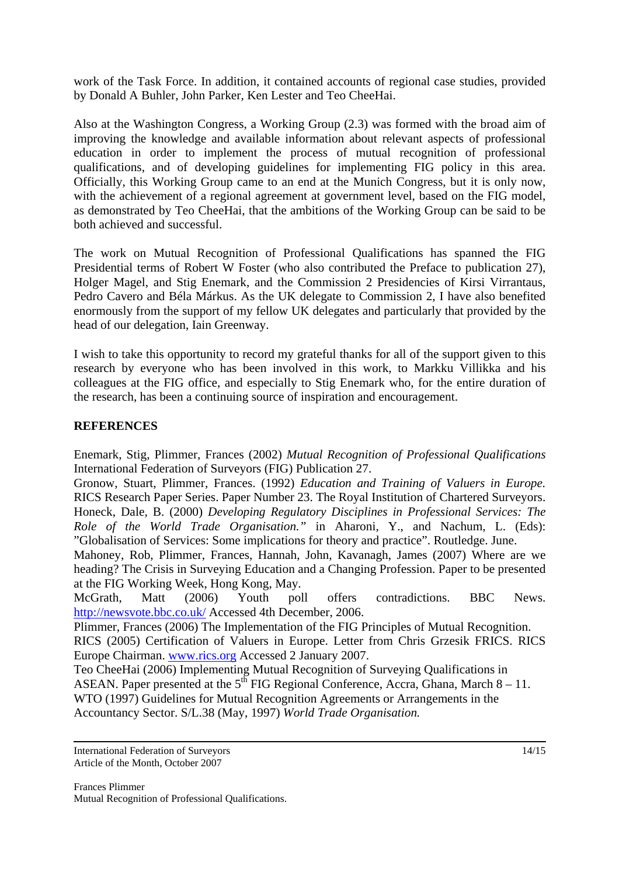work of the Task Force. In addition, it contained accounts of regional case studies, provided by Donald A Buhler, John Parker, Ken Lester and Teo CheeHai.

Also at the Washington Congress, a Working Group (2.3) was formed with the broad aim of improving the knowledge and available information about relevant aspects of professional education in order to implement the process of mutual recognition of professional qualifications, and of developing guidelines for implementing FIG policy in this area. Officially, this Working Group came to an end at the Munich Congress, but it is only now, with the achievement of a regional agreement at government level, based on the FIG model, as demonstrated by Teo CheeHai, that the ambitions of the Working Group can be said to be both achieved and successful.

The work on Mutual Recognition of Professional Qualifications has spanned the FIG Presidential terms of Robert W Foster (who also contributed the Preface to publication 27), Holger Magel, and Stig Enemark, and the Commission 2 Presidencies of Kirsi Virrantaus, Pedro Cavero and Béla Márkus. As the UK delegate to Commission 2, I have also benefited enormously from the support of my fellow UK delegates and particularly that provided by the head of our delegation, Iain Greenway.

I wish to take this opportunity to record my grateful thanks for all of the support given to this research by everyone who has been involved in this work, to Markku Villikka and his colleagues at the FIG office, and especially to Stig Enemark who, for the entire duration of the research, has been a continuing source of inspiration and encouragement.

#### **REFERENCES**

Enemark, Stig, Plimmer, Frances (2002) *Mutual Recognition of Professional Qualifications* International Federation of Surveyors (FIG) Publication 27.

Gronow, Stuart, Plimmer, Frances. (1992) *Education and Training of Valuers in Europe.* RICS Research Paper Series. Paper Number 23. The Royal Institution of Chartered Surveyors. Honeck, Dale, B. (2000) *Developing Regulatory Disciplines in Professional Services: The Role of the World Trade Organisation."* in Aharoni, Y., and Nachum, L. (Eds): "Globalisation of Services: Some implications for theory and practice". Routledge. June.

Mahoney, Rob, Plimmer, Frances, Hannah, John, Kavanagh, James (2007) Where are we heading? The Crisis in Surveying Education and a Changing Profession. Paper to be presented at the FIG Working Week, Hong Kong, May.

McGrath, Matt (2006) Youth poll offers contradictions. BBC News. http://newsvote.bbc.co.uk/ Accessed 4th December, 2006.

Plimmer, Frances (2006) The Implementation of the FIG Principles of Mutual Recognition. RICS (2005) Certification of Valuers in Europe. Letter from Chris Grzesik FRICS. RICS Europe Chairman. www.rics.org Accessed 2 January 2007.

Teo CheeHai (2006) Implementing Mutual Recognition of Surveying Qualifications in ASEAN. Paper presented at the  $5^{th}$  FIG Regional Conference, Accra, Ghana, March 8 – 11. WTO (1997) Guidelines for Mutual Recognition Agreements or Arrangements in the Accountancy Sector. S/L.38 (May, 1997) *World Trade Organisation.*

International Federation of Surveyors Article of the Month, October 2007